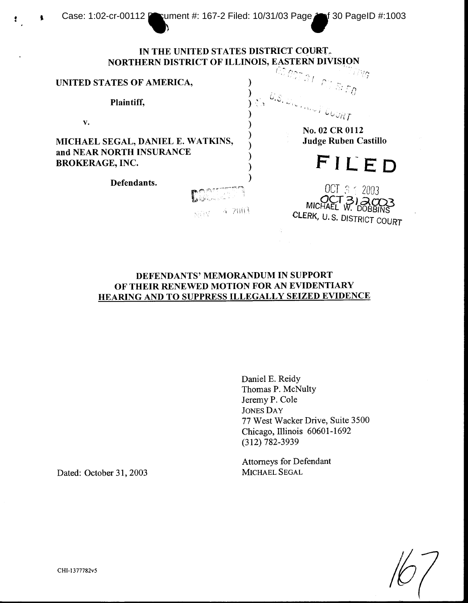## IN THE UNITED STATES DISTRICT COURT. NORTHERN DISTRICT OF ILLINOIS, EASTERN DIVISION Ti yg

## UNITED STATES OF AMERICA,

Plaintiff,

 $\mathbf{V}$  .

t

MICHAEL SEGAL, DANIEL E. WATKINS, and NEAR NORTH INSURANCE **BROKERAGE, INC.** 

Defendants.

No. 02 CR 0112

**Judge Ruben Castillo** 

FILED

OCT 3 1 2003 MICHAEL W. DOBBINS CLERK, U.S. DISTRICT COURT

## DEFENDANTS' MEMORANDUM IN SUPPORT OF THEIR RENEWED MOTION FOR AN EVIDENTIARY HEARING AND TO SUPPRESS ILLEGALLY SEIZED EVIDENCE

**4.2003** 

s) (FS

Daniel E. Reidy Thomas P. McNulty Jeremy P. Cole **JONES DAY** 77 West Wacker Drive, Suite 3500 Chicago, Illinois 60601-1692  $(312) 782 - 3939$ 

**Attorneys for Defendant** MICHAEL SEGAL

Dated: October 31, 2003

CHI-1377782v5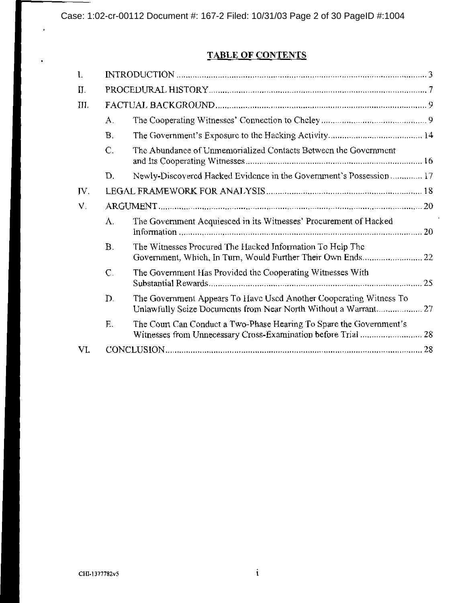# TABLE OF CONTENTS

| 1.   |                |                                                                                                                                       |  |
|------|----------------|---------------------------------------------------------------------------------------------------------------------------------------|--|
| II.  |                |                                                                                                                                       |  |
| III. |                |                                                                                                                                       |  |
|      | $\mathbf{A}$ . |                                                                                                                                       |  |
|      | <b>B.</b>      |                                                                                                                                       |  |
|      | $\mathsf{C}$ . | The Abundance of Unmemorialized Contacts Between the Government                                                                       |  |
|      | D.             | Newly-Discovered Hacked Evidence in the Government's Possession  17                                                                   |  |
| IV.  |                |                                                                                                                                       |  |
| V.   |                |                                                                                                                                       |  |
|      | $\Lambda$ .    | The Government Acquiesced in its Witnesses' Procurement of Hacked                                                                     |  |
|      | <b>B.</b>      | The Witnesses Procured The Hacked Information To Help The                                                                             |  |
|      | $\mathsf{C}$ . | The Government Has Provided the Cooperating Witnesses With                                                                            |  |
|      | D.             | The Government Appears To Have Used Another Cooperating Witness To<br>Unlawfully Seize Documents from Near North Without a Warrant 27 |  |
|      | E.             | The Court Can Conduct a Two-Phase Hearing To Spare the Government's                                                                   |  |
|      |                |                                                                                                                                       |  |

 $\ddot{\phantom{a}}$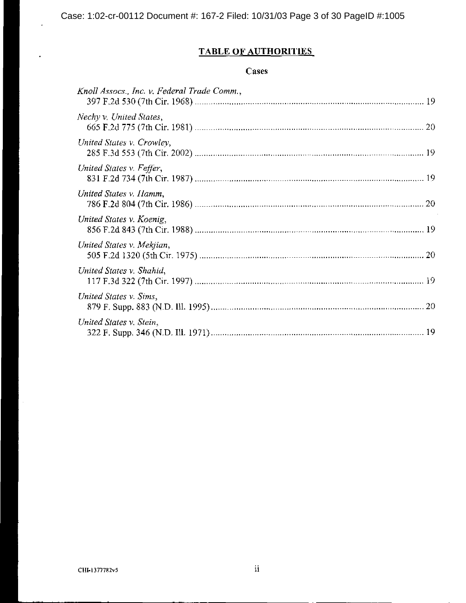# **TABLE OF AUTHORITIES**

# Cases

| Knoll Assocs., Inc. v. Federal Trade Comm., |  |
|---------------------------------------------|--|
| Nechy v. United States,                     |  |
| United States v. Crowley,                   |  |
| United States v. Feffer,                    |  |
| United States v. Hamm,                      |  |
| United States v. Koenig,                    |  |
| United States v. Mekjian,                   |  |
| United States v. Shahid,                    |  |
| United States v. Sims,                      |  |
| United States v. Stein,                     |  |

l,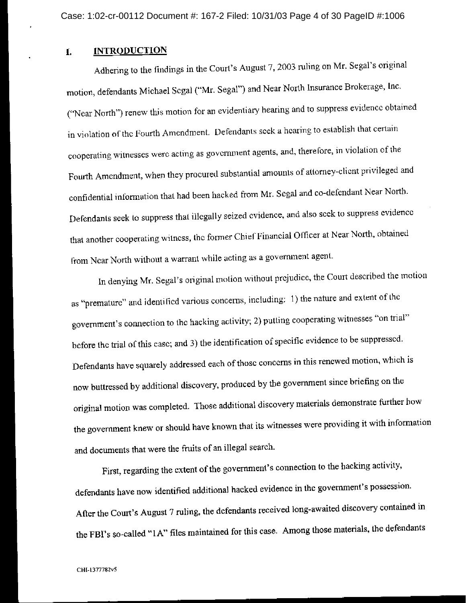#### **INTRODUCTION** Ť.

Adhering to the findings in the Court's August 7, 2003 ruling on Mr. Segal's original motion, defendants Michael Segal ("Mr. Segal") and Near North Insurance Brokerage, Inc. ("Near North") renew this motion for an evidentiary hearing and to suppress evidence obtained in violation of the Fourth Amendment. Defendants seek a hearing to establish that certain cooperating witnesses were acting as government agents, and, therefore, in violation of the Fourth Amendment, when they procured substantial amounts of attorney-client privileged and confidential information that had been hacked from Mr. Segal and co-defendant Near North. Defendants seek to suppress that illegally seized evidence, and also seek to suppress evidence that another cooperating witness, the former Chief Financial Officer at Near North, obtained from Near North without a warrant while acting as a government agent.

In denying Mr. Segal's original motion without prejudice, the Court described the motion as "premature" and identified various concerns, including: 1) the nature and extent of the government's connection to the hacking activity; 2) putting cooperating witnesses "on trial" before the trial of this case; and 3) the identification of specific evidence to be suppressed. Defendants have squarely addressed each of those concerns in this renewed motion, which is now buttressed by additional discovery, produced by the government since briefing on the original motion was completed. Those additional discovery materials demonstrate further how the government knew or should have known that its witnesses were providing it with information and documents that were the fruits of an illegal search.

First, regarding the extent of the government's connection to the hacking activity, defendants have now identified additional hacked evidence in the government's possession. After the Court's August 7 ruling, the defendants received long-awaited discovery contained in the FBI's so-called "1A" files maintained for this case. Among those materials, the defendants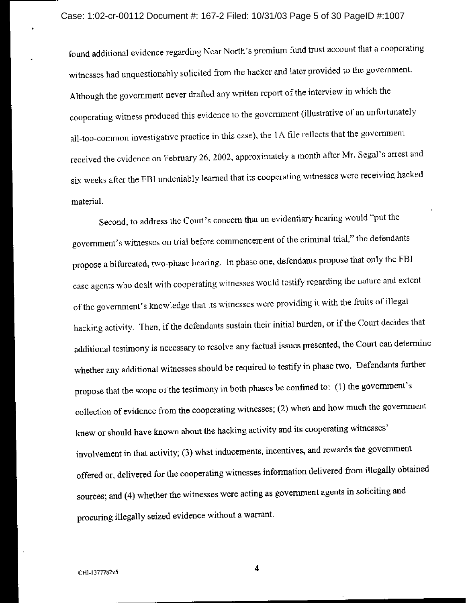found additional evidence regarding Near North's premium fund trust account that a cooperating witnesses had unquestionably solicited from the hacker and later provided to the government. Although the government never drafted any written report of the interview in which the cooperating witness produced this evidence to the government (illustrative of an unfortunately all-too-common investigative practice in this case), the  $1\Lambda$  file reflects that the government received the cvidence on February 26, 2002, approximately a month after Mr. Segal's arrest and six weeks after the FBI undeniably learned that its cooperating witnesses were receiving hacked material.

Second, to address the Court's concern that an evidentiary hearing would "put the government's witnesses on trial before commencement of the criminal trial," the defendants propose a bifurcated, two-phase hearing. In phase one, defendants propose that only the FBI case agents who dealt with cooperating witnesses would testify regarding the nature and extent of the government's knowledge that its witnesses were providing it with the fruits of illegal hacking activity. Then, if the defendants sustain their initial burden, or if the Court decides that additional testimony is necessary to resolve any factual issues presented, the Court can determine whether any additional witnesses should be required to testify in phase two. Defendants further propose that the scope of the testimony in both phases be confined to: (1) the government's collection of evidence from the cooperating witnesses; (2) when and how much the government knew or should have known about the hacking activity and its cooperating witnesses' involvement in that activity; (3) what inducements, incentives, and rewards the government offered or, delivered for the cooperating witnesses information delivered from illegally obtained sources; and (4) whether the witnesses were acting as government agents in soliciting and procuring illegally seized evidence without a warrant.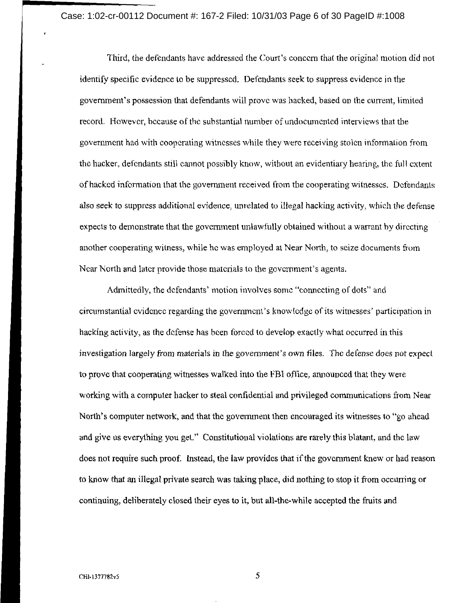Case: 1:02-cr-00112 Document #: 167-2 Filed: 10/31/03 Page 6 of 30 PageID #:1008

Third, the defendants have addressed the Court's concern that the original motion did not identify specific evidence to be suppressed. Defendants seek to suppress evidence in the government's possession that defendants will prove was hacked, based on the current, limited record. However, because of the substantial number of undocumented interviews that the government had with cooperating witnesses while they were receiving stolen information from the hacker, defendants still cannot possibly know, without an evidentiary hearing, the full extent of hacked information that the government received from the cooperating witnesses. Defendants also seek to suppress additional evidence, unrelated to illegal hacking activity, which the defense expects to demonstrate that the government unlawfully obtained without a warrant by directing another cooperating witness, while he was employed at Near North, to seize documents from Near North and later provide those materials to the government's agents.

Admittedly, the defendants' motion involves some "connecting of dots" and circumstantial evidence regarding the government's knowledge of its witnesses' participation in hacking activity, as the defense has been forced to develop exactly what occurred in this investigation largely from materials in the government's own files. The defense does not expect to prove that cooperating witnesses walked into the FBI office, announced that they were working with a computer hacker to steal confidential and privileged communications from Near North's computer network, and that the government then encouraged its witnesses to "go ahead and give us everything you get." Constitutional violations are rarely this blatant, and the law does not require such proof. Instead, the law provides that if the government knew or had reason to know that an illegal private search was taking place, did nothing to stop it from occurring or continuing, deliberately closed their eyes to it, but all-the-while accepted the fruits and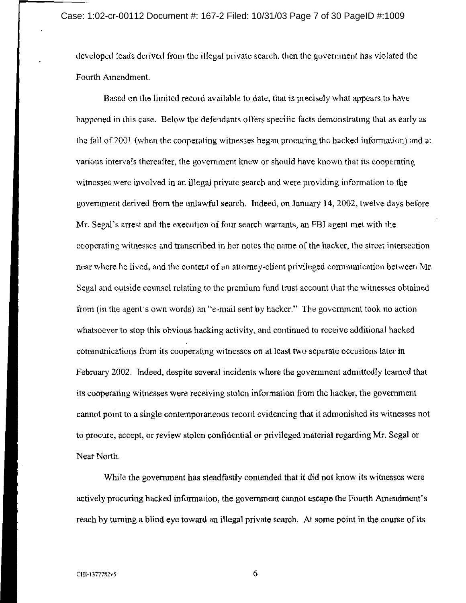developed leads derived from the illegal private search, then the government has violated the Fourth Amendment.

Based on the limited record available to date, that is precisely what appears to have happened in this case. Below the defendants offers specific facts demonstrating that as early as the fall of 2001 (when the cooperating witnesses began procuring the hacked information) and at various intervals thereafter, the government knew or should have known that its cooperating witnesses were involved in an illegal private search and were providing information to the government derived from the unlawful search. Indeed, on January 14, 2002, twelve days before Mr. Segal's arrest and the execution of four search warrants, an FBI agent met with the cooperating witnesses and transcribed in her notes the name of the hacker, the street intersection near where he lived, and the content of an attorney-client privileged communication between Mr. Segal and outside counsel relating to the premium fund trust account that the witnesses obtained from (in the agent's own words) an "e-mail sent by hacker." The government took no action whatsoever to stop this obvious hacking activity, and continued to receive additional hacked communications from its cooperating witnesses on at least two separate occasions later in February 2002. Indeed, despite several incidents where the government admittedly learned that its cooperating witnesses were receiving stolen information from the hacker, the government cannot point to a single contemporaneous record evidencing that it admonished its witnesses not to procure, accept, or review stolen confidential or privileged material regarding Mr. Segal or Near North.

While the government has steadfastly contended that it did not know its witnesses were actively procuring hacked information, the government cannot escape the Fourth Amendment's reach by turning a blind eye toward an illegal private search. At some point in the course of its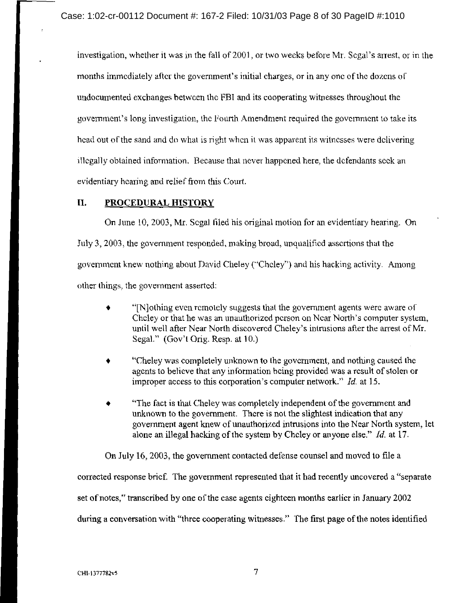investigation, whether it was in the fall of 2001, or two weeks before Mr. Segal's arrest, or in the months immediately after the government's initial charges, or in any one of the dozens of undocumented exchanges between the FBI and its cooperating witnesses throughout the government's long investigation, the Fourth Amendment required the government to take its head out of the sand and do what is right when it was apparent its witnesses were delivering illegally obtained information. Because that never happened here, the defendants seek an evidentiary hearing and relief from this Court.

#### II. PROCEDURAL HISTORY

On June 10, 2003, Mr. Segal filed his original motion for an evidentiary hearing. On July 3, 2003, the government responded, making broad, unqualified assertions that the government knew nothing about David Cheley ("Cheley") and his hacking activity. Among other things, the government asserted:

- "[N] othing even remotely suggests that the government agents were aware of Cheley or that he was an unauthorized person on Near North's computer system, until well after Near North discovered Cheley's intrusions after the arrest of Mr. Segal." (Gov't Orig. Resp. at 10.)
- "Cheley was completely unknown to the government, and nothing caused the agents to believe that any information being provided was a result of stolen or improper access to this corporation's computer network."  $Id$  at 15.
- "The fact is that Cheley was completely independent of the government and unknown to the government. There is not the slightest indication that any government agent knew of unauthorized intrusions into the Near North system, let alone an illegal hacking of the system by Cheley or anyone else." Id. at 17.

On July 16, 2003, the government contacted defense counsel and moved to file a

corrected response brief. The government represented that it had recently uncovered a "separate"

set of notes," transcribed by one of the case agents eighteen months earlier in January 2002

during a conversation with "three cooperating witnesses." The first page of the notes identified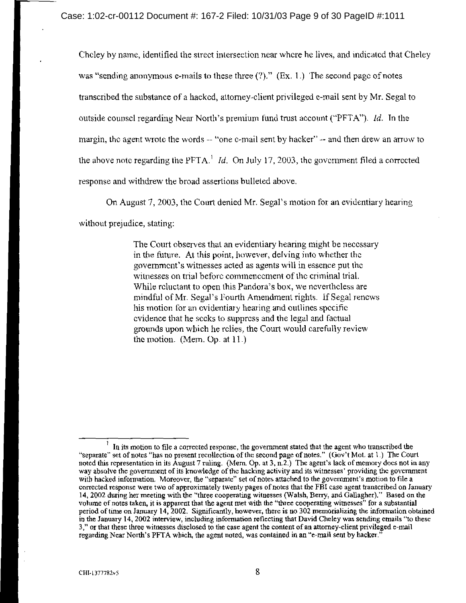Cheley by name, identified the street intersection near where he lives, and indicated that Cheley was "sending anonymous e-mails to these three  $(?)$ ." (Ex. 1.) The second page of notes transcribed the substance of a hacked, attorney-client privileged e-mail sent by Mr. Segal to outside counsel regarding Near North's premium fund trust account ("PFTA"). *Id.* In the margin, the agent wrote the words -- "one e-mail sent by hacker" -- and then drew an arrow to the above note regarding the PFTA.<sup>1</sup> *Id.* On July 17, 2003, the government filed a corrected response and withdrew the broad assertions bulleted above.

On August 7, 2003, the Court denied Mr. Segal's motion for an evidentiary hearing

without prejudice, stating:

The Court observes that an evidentiary hearing might be necessary in the future. At this point, however, delving into whether the government's witnesses acted as agents will in essence put the witnesses on trial before commencement of the criminal trial. While reluctant to open this Pandora's box, we nevertheless are mindful of Mr. Segal's Fourth Amendment rights. If Segal renews his motion for an evidentiary hearing and outlines specific evidence that he seeks to suppress and the legal and factual grounds upon which he relies, the Court would carefully review the motion. (Mem. Op. at  $11$ .)

 $\frac{1}{1}$  In its motion to file a corrected response, the government stated that the agent who transcribed the "separate" set of notes "has no present recollection of the second page of notes." (Gov't Mot. at 1.) The Court<br>noted this representation in its August 7 ruling. (Mem. Op. at 3, n.2.) The agent's lack of memory does not in way absolve the government of its knowledge of the hacking activity and its witnesses' providing the government with hacked information. Moreover, the "separate" set of notes attached to the government's motion to file a corrected response were two of approximately twenty pages of notes that the FBI case agent transcribed on January 14, 2002 during her meeting with the "three cooperating witnesses (Walsh, Berry, and Gallagher)." Based on the volume of notes taken, it is apparent that the agent met with the "three cooperating witnesses" for a substantial period of time on January 14, 2002. Significantly, however, there is no 302 memorializing the information obtained in the January 14, 2002 interview, including information reflecting that David Cheley was sending emails "to these 3," or that these three witnesses disclosed to the case agent the content of an attorney-client privileged e-mail regarding Near North's PFTA which, the agent noted, was contained in an "e-mail sent by hacker."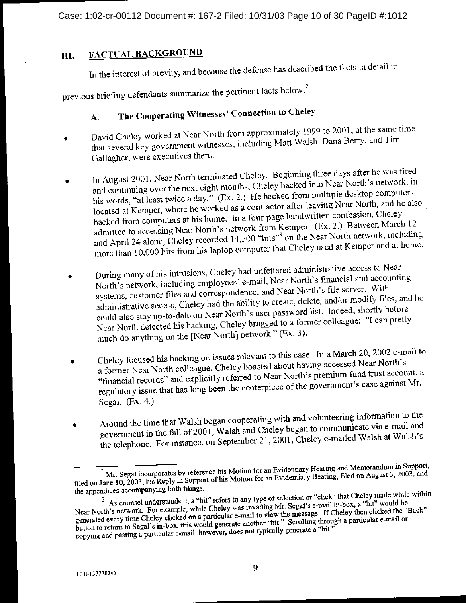Case: 1:02-cr-00112 Document #: 167-2 Filed: 10/31/03 Page 10 of 30 PageID #:1012

#### FACTUAL BACKGROUND III.

In the interest of brevity, and because the defense has described the facts in detail in

previous briefing defendants summarize the pertinent facts below.<sup>2</sup>

### The Cooperating Witnesses' Connection to Cheley А.

- David Chelcy worked at Near North from approximately 1999 to 2001, at the same time that several key government witnesses, including Matt Walsh, Dana Berry, and Tim Gallagher, were executives there.
- In August 2001, Near North terminated Cheley. Beginning three days after he was fired and continuing over the next eight months, Cheley hacked into Near North's network, in his words, "at least twice a day." (Ex. 2.) He hacked from multiple desktop computers located at Kemper, where he worked as a contractor after leaving Near North, and he also hacked from computers at his home. In a four-page handwritten confession, Cheley admitted to accessing Near North's network from Kemper. (Ex. 2.) Between March 12 and April 24 alone, Cheley recorded 14,500 "hits"<sup>3</sup> on the Near North network, including more than 10,000 hits from his laptop computer that Cheley used at Kemper and at home.
- During many of his intrusions, Cheley had unfettered administrative access to Near North's network, including employees' e-mail, Near North's financial and accounting systems, customer files and correspondence, and Near North's file server. With administrative access, Cheley had the ability to create, delete, and/or modify files, and he could also stay up-to-date on Near North's user password list. Indeed, shortly before Near North detected his hacking, Cheley bragged to a former colleague: "I can pretty much do anything on the [Near North] network." (Ex. 3).
- Chelcy focused his hacking on issues relevant to this case. In a March 20, 2002 e-mail to a former Near North colleague, Cheley boasted about having accessed Near North's  $\ddot{\phantom{0}}$ "financial records" and explicitly referred to Near North's premium fund trust account, a regulatory issue that has long been the centerpiece of the government's case against Mr. Segal.  $(Ex. 4.)$
- Around the time that Walsh began cooperating with and volunteering information to the government in the fall of 2001, Walsh and Cheley began to communicate via e-mail and ٠ the telephone. For instance, on September 21, 2001, Cheley e-mailed Walsh at Walsh's

<sup>&</sup>lt;sup>2</sup> Mr. Segal incorporates by reference his Motion for an Evidentiary Hearing and Memorandum in Support, filed on June 10, 2003, his Reply in Support of his Motion for an Evidentiary Hearing, filed on August 3, 2003, and the appendices accompanying both filings.

<sup>&</sup>lt;sup>3</sup> As counsel understands it, a "hit" refers to any type of selection or "click" that Cheley made while within Near North's network. For example, while Cheley was invading Mr. Segal's e-mail in-box, a "hit" would be generated every time Cheley clicked on a particular e-mail to view the message. If Cheley then clicked the "Back" button to return to Segal's in-box, this would generate another "hit." Scrolling through a particular e-mail or copying and pasting a particular c-mail or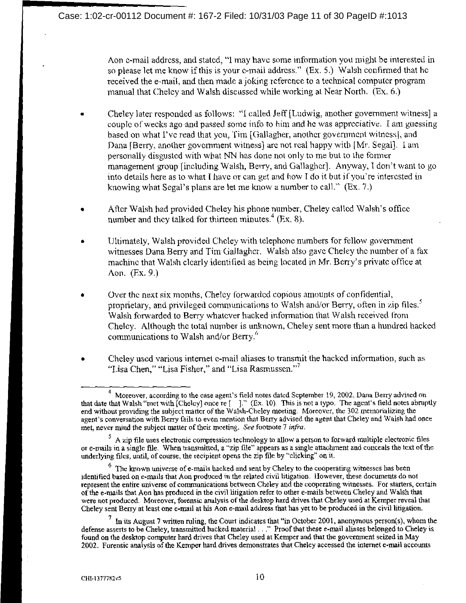Aon e-mail address, and stated, "I may have some information you might be interested in so please let me know if this is your e-mail address." (Ex. 5.) Walsh confirmed that he received the e-mail, and then made a joking reference to a technical computer program manual that Cheley and Walsh discussed while working at Near North. (Ex. 6.)

- Cheley later responded as follows: "I called Jeff [Ludwig, another government witness] a couple of weeks ago and passed some info to him and he was appreciative. I am guessing based on what I've read that you, Tim [Gallagher, another government witness], and Dana (Berry, another government witness) are not real happy with [Mr. Segal]. I am personally disgusted with what NN has done not only to me but to the former management group lincluding Walsh, Berry, and Gallagher]. Anyway, I don't want to go into details here as to what I have or can get and how I do it but if you're interested in knowing what Segal's plans are let me know a number to call." (Ex. 7.)
- After Walsh had provided Cheley his phone number, Cheley called Walsh's office number and they talked for thirteen minutes.<sup>4</sup> (Ex. 8).
- Ultimately, Walsh provided Cheley with telephone numbers for fellow government witnesses Dana Berry and Tim Gallagher. Walsh also gave Cheley the number of a fax machine that Walsh clearly identified as being located in Mr. Berry's private office at  $A$ on.  $(Fx. 9.)$
- Over the next six months. Cheley forwarded copious amounts of confidential, proprietary, and privileged communications to Walsh and/or Berry, often in zip files.<sup>3</sup> Walsh forwarded to Berry whatever hacked information that Walsh received from Cheley. Although the total number is unknown, Cheley sent more than a hundred hacked communications to Walsh and/or Berry."
- Cheley used various internet e-mail aliases to transmit the hacked information, such as "Lisa Chen," "Lisa Fisher," and "Lisa Rasmussen."<sup>7</sup>

<sup>&</sup>lt;sup>4</sup> Moreover, according to the case agent's field notes dated September 19, 2002, Dana Berry advised on that date that Walsh "met with [Cheley] once re [ ]." (Ex. 10). This is not a typo. The agent's field notes abruptly end without providing the subject matter of the Walsh-Cheley meeting. Moreover, the 302 memorializing the agent's conversation with Berry fails to even mention that Berry advised the agent that Cheley and Walsh had once met, never mind the subject matter of their meeting. See footnote 7 infra.

 $5$  A zip file uses electronic compression technology to allow a person to forward multiple electronic files or e-mails in a single file. When transmitted, a "zip file" appears as a single attachment and conceals the text of the underlying files, until, of course, the recipient opens the zip file by "clicking" on it.

<sup>&</sup>lt;sup>6</sup> The known universe of e-mails hacked and sent by Cheley to the cooperating witnesses has been identified based on e-mails that Aon produced in the related civil litigation. However, these documents do not represent the entire universe of communications between Cheley and the cooperating witnesses. For starters, certain of the e-mails that Aon has produced in the civil litigation refer to other e-mails between Cheley and Walsh that were not produced. Moreover, forensic analysis of the desktop hard drives that Cheley used at Kemper reveal that Cheley sent Berry at least one e-mail at his Aon e-mail address that has yet to be produced in the civil litigation.

In its August 7 written ruling, the Court indicates that "in October 2001, anonymous person(s), whom the defense asserts to be Cheley, transmitted hacked material ... " Proof that these e-mail aliases belonged to Cheley is found on the desktop computer hard drives that Cheley used at Kemper and that the government seized in May 2002. Forensic analysis of the Kemper hard drives demonstrates that Cheley accessed the internet e-mail accounts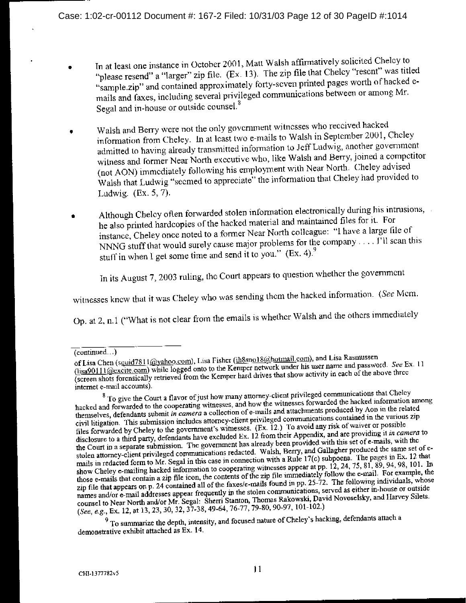- In at least one instance in October 2001, Matt Walsh affirmatively solicited Cheley to "please resend" a "larger" zip file. (Ex. 13). The zip file that Cheley "resent" was titled "sample.zip" and contained approximately forty-seven printed pages worth of hacked emails and faxes, including several privileged communications between or among Mr. Segal and in-house or outside counsel.<sup>8</sup>
- Walsh and Berry were not the only government witnesses who received hacked information from Cheley. In at least two e-mails to Walsh in September 2001, Cheley admitted to having already transmitted information to Jeff Ludwig, another government witness and former Near North executive who, like Walsh and Berry, joined a competitor (not AON) immediately following his employment with Near North. Cheley advised Walsh that Ludwig "secmed to appreciate" the information that Cheley had provided to Ludwig.  $(EX. 5, 7)$ .
- Although Cheley often forwarded stolen information electronically during his intrusions, he also printed hardcopies of the hacked material and maintained files for it. For instance, Cheley once noted to a former Near North colleague: "I have a large file of NNNG stuff that would surely cause major problems for the company ... .  $\tilde{V}$ ll scan this stuff in when I get some time and send it to you."  $(Ex. 4)$ .

In its August 7, 2003 ruling, the Court appears to question whether the government

witnesses knew that it was Cheley who was sending them the hacked information. (See Mem.

Op. at 2, n.1 ("What is not clear from the emails is whether Walsh and the others immediately

 $9$  To summarize the depth, intensity, and focused nature of Cheley's hacking, defendants attach a demonstrative exhibit attached as Ex. 14.

 $\overline{(continued..)}$ 

of Lisa Chen (squid7811@yahoo.com), Lisa Fisher (ih8sno18@hotmail.com), and Lisa Rasmussen (lisa90111@excite.com) while logged onto to the Keniper network under his user name and password. See Ex. 11 (screen shots forensically retrieved from the Kemper hard drives that show activity in each of the above three internet e-mail accounts).

<sup>&</sup>lt;sup>8</sup> To give the Court a flavor of just how many attorney-client privileged communications that Cheley hacked and forwarded to the cooperating witnesses, and how the witnesses forwarded the hacked information among themselves, defendants submit in camera a collection of e-mails and attachments produced by Aon in the related civil litigation. This submission includes attorney-client privileged communications contained in the various zip files forwarded by Cheley to the government's witnesses. (Ex. 12.) To avoid any risk of waiver or possible disclosure to a third party, defendants have excluded Ex. 12 from their Appendix, and are providing it in camera to the Court in a separate submission. The government has already been provided with this set of e-mails, with the stolen attorney-client privileged communications redacted. Walsh, Berry, and Gallagher produced the same set of emails in redacted form to Mr. Segal in this case in connection with a Rule 17(c) subpoena. The pages in Ex. 12 that show Cheley e-mailing hacked information to cooperating witnesses appear at pp. 12, 24, 75, 81, 89, 94, 98, 101. In those e-mails that contain a zip file icon, the contents of the zip file immediately follow the c-mail. For example, the zip file that appears on p. 24 contained all of the faxes/e-mails found in pp. 25-72. The following individuals, whose names and/or e-mail addresses appear frequently in the stolen communications, served as either in-house or outside counsel to Near North and/or Mr. Segal: Sherri Stanton, Thomas Rakowski, David Novoselsky, and Harvey Silets. (See, e.g., Ex. 12, at 13, 23, 30, 32, 37-38, 49-64, 76-77, 79-80, 90-97, 101-102.)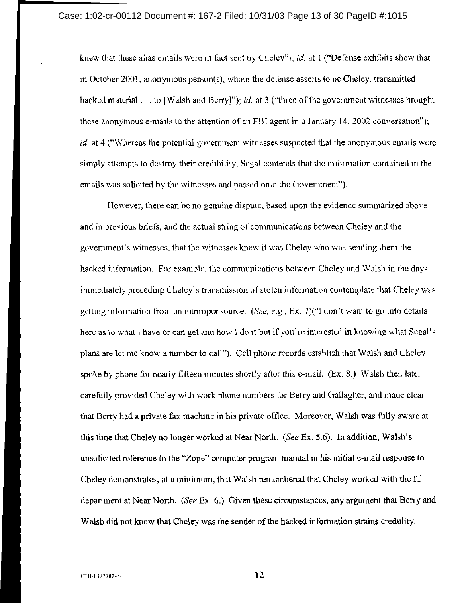knew that these alias emails were in fact sent by Cheley"); id, at  $\mathbf 1$  ("Defense exhibits show that in October 2001, anonymous person(s), whom the defense asserts to be Cheley, transmitted hacked material . . . to [Walsh and Berry]"); *id.* at 3 ("three of the government witnesses brought these anonymous e-mails to the attention of an FBI agent in a January 14, 2002 conversation"); id. at 4 ("Whereas the potential government witnesses suspected that the anonymous emails were simply attempts to destroy their credibility, Segal contends that the information contained in the emails was solicited by the witnesses and passed onto the Government").

However, there can be no genuine dispute, based upon the evidence summarized above and in previous briefs, and the actual string of communications between Cheley and the government's witnesses, that the witnesses knew it was Cheley who was sending them the hacked information. For example, the communications between Cheley and Walsh in the days immediately preceding Cheley's transmission of stolen information contemplate that Cheley was getting information from an improper source. (See, e.g., Ex. 7)("I don't want to go into details here as to what I have or can get and how I do it but if you're interested in knowing what Segal's plans are let me know a number to call"). Cell phone records establish that Walsh and Cheley spoke by phone for nearly fifteen minutes shortly after this e-mail. (Ex. 8.) Walsh then later carefully provided Cheley with work phone numbers for Berry and Gallagher, and made clear that Berry had a private fax machine in his private office. Moreover, Walsh was fully aware at this time that Cheley no longer worked at Near North. (See Ex. 5,6). In addition, Walsh's unsolicited reference to the "Zope" computer program manual in his initial e-mail response to Cheley demonstrates, at a minimum, that Walsh remembered that Cheley worked with the IT department at Near North. (See Ex. 6.) Given these circumstances, any argument that Berry and Walsh did not know that Cheley was the sender of the hacked information strains credulity.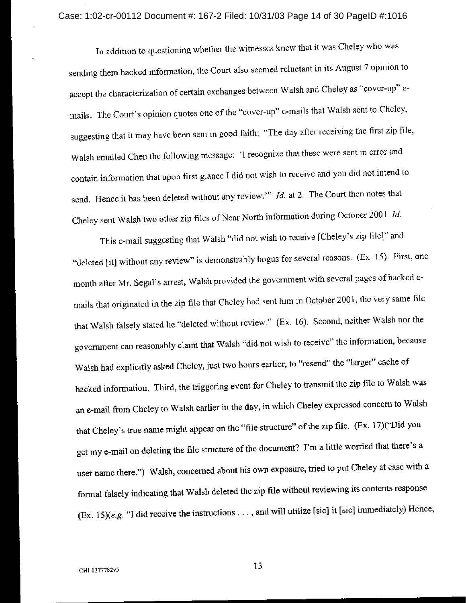In addition to questioning whether the witnesses knew that it was Cheley who was sending them hacked information, the Court also seemed reluctant in its August 7 opinion to accept the characterization of certain exchanges between Walsh and Cheley as "cover-up" emails. The Court's opinion quotes one of the "cover-up" e-mails that Walsh sent to Cheley, suggesting that it may have been sent in good faith: "The day after receiving the first zip file, Walsh emailed Chen the following message: 'I recognize that these were sent in error and contain information that upon first glance I did not wish to receive and you did not intend to send. Hence it has been deleted without any review." *Id.* at 2. The Court then notes that Cheley sent Walsh two other zip files of Near North information during October 2001. Id.

This e-mail suggesting that Walsh "did not wish to receive [Cheley's zip file]" and "deleted [it] without any review" is demonstrably bogus for several reasons. (Ex. 15). First, one month after Mr. Segal's arrest, Walsh provided the government with several pages of hacked emails that originated in the zip file that Cheley had sent him in October 2001, the very same file that Walsh falsely stated he "deleted without review." (Ex. 16). Second, neither Walsh nor the government can reasonably claim that Walsh "did not wish to receive" the information, because Walsh had explicitly asked Cheley, just two hours earlier, to "resend" the "larger" cache of hacked information. Third, the triggering event for Cheley to transmit the zip file to Walsh was an e-mail from Cheley to Walsh earlier in the day, in which Cheley expressed concern to Walsh that Cheley's true name might appear on the "file structure" of the zip file. (Ex. 17)("Did you get my e-mail on deleting the file structure of the document? I'm a little worried that there's a user name there.") Walsh, concerned about his own exposure, tried to put Cheley at ease with a formal falsely indicating that Walsh deleted the zip file without reviewing its contents response (Ex. 15)(e.g. "I did receive the instructions . . . , and will utilize [sic] it [sic] immediately) Hence,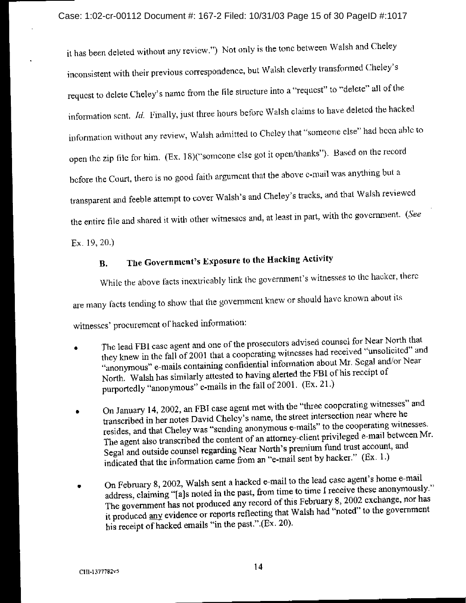it has been deleted without any review.") Not only is the tone between Walsh and Cheley inconsistent with their previous correspondence, but Walsh cleverly transformed Cheley's request to delete Cheley's name from the file structure into a "request" to "delete" all of the information sent. *Id.* Finally, just three hours before Walsh claims to have deleted the hacked information without any review, Walsh admitted to Cheley that "someone clse" had been able to open the zip file for him. (Ex. 18)("someone else got it open/thanks"). Based on the record before the Court, there is no good faith argument that the above e-mail was anything but a transparent and feeble attempt to cover Walsh's and Cheley's tracks, and that Walsh reviewed the entire file and shared it with other witnesses and, at least in part, with the government. (See

 $Ex. 19, 20$ )

### The Government's Exposure to the Hacking Activity **B.**

While the above facts inextricably link the government's witnesses to the hacker, there

are many facts tending to show that the government knew or should have known about its

witnesses' procurement of hacked information:

- The lead FBI case agent and one of the prosecutors advised counsel for Near North that they knew in the fall of 2001 that a cooperating witnesses had received "unsolicited" and "anonymous" e-mails containing confidential information about Mr. Segal and/or Near North. Walsh has similarly attested to having alerted the FBI of his receipt of purportedly "anonymous" e-mails in the fall of 2001. (Ex. 21.)
- On January 14, 2002, an FBI case agent met with the "three cooperating witnesses" and transcribed in her notes David Cheley's name, the street intersection near where he resides, and that Cheley was "sending anonymous e-mails" to the cooperating witnesses. The agent also transcribed the content of an attorney-client privileged e-mail between Mr. Segal and outside counsel regarding Near North's premium fund trust account, and indicated that the information came from an "e-mail sent by hacker." (Ex. 1.)
- On February 8, 2002, Walsh sent a hacked e-mail to the lead case agent's home e-mail address, claiming "[a]s noted in the past, from time to time I reccive these anonymously." The government has not produced any record of this February 8, 2002 exchange, nor has it produced any evidence or reports reflecting that Walsh had "noted" to the government his receipt of hacked emails "in the past." (Ex. 20).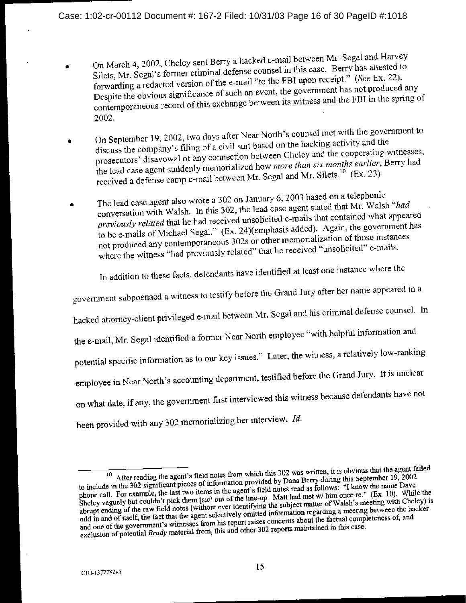- On March 4, 2002, Cheley sent Berry a hacked e-mail between Mr. Segal and Harvey Silets, Mr. Segal's former criminal defense counsel in this case. Berry has attested to forwarding a redacted version of the e-mail "to the FBI upon receipt." (See Ex. 22). Despite the obvious significance of such an event, the government has not produced any contemporaneous record of this exchange between its witness and the FBI in the spring of 2002.
- On September 19, 2002, two days after Near North's counsel met with the government to discuss the company's filing of a civil suit based on the hacking activity and the prosecutors' disavowal of any connection between Cheley and the cooperating witnesses, the lead case agent suddenly memorialized how more than six months earlier, Berry had received a defense camp e-mail between Mr. Segal and Mr. Silets.<sup>10</sup> (Ex. 23).
- The lead case agent also wrote a 302 on January 6, 2003 based on a telephonic conversation with Walsh. In this 302, the lead case agent stated that Mr. Walsh "had ă previously related that he had received unsolicited c-mails that contained what appeared to be c-mails of Michael Segal." (Ex. 24)(emphasis added). Again, the government has not produced any contemporaneous 302s or other memorialization of those instances where the witness "had previously related" that he received "unsolicited" e-mails.

In addition to these facts, defendants have identified at least one instance where the

government subpoenaed a witness to testify before the Grand Jury after her name appeared in a

hacked attorney-client privileged e-mail between Mr. Segal and his criminal defense counsel. In

the e-mail, Mr. Segal identified a former Near North employee "with helpful information and

potential specific information as to our key issues." Later, the witness, a relatively low-ranking

employee in Near North's accounting department, testified before the Grand Jury. It is unclear

on what date, if any, the government first interviewed this witness because defendants have not

been provided with any 302 memorializing her interview. Id.

 $10$  After reading the agent's field notes from which this 302 was written, it is obvious that the agent failed to include in the 302 significant pieces of information provided by Dana Berry during this September 19, 2002 phone call. For example, the last two items in the agent's field notes read as follows. "I know the name Dave Sheley vaguely but couldn't pick them [sic] out of the line-up. Matt had met w/ him once re." (Ex. 10). While the abrupt ending of the raw field notes (without ever identifying the subject matter of Walsh's meeting with Cheley) is odd in and of itself, the fact that the agent selectively omitted information regarding a meeting between the hacker and one of the government's witnesses from his report raises concerns about the factual completeness of, and exclusion of potential *Brady* material from, this and other 302 reports maintained in this case.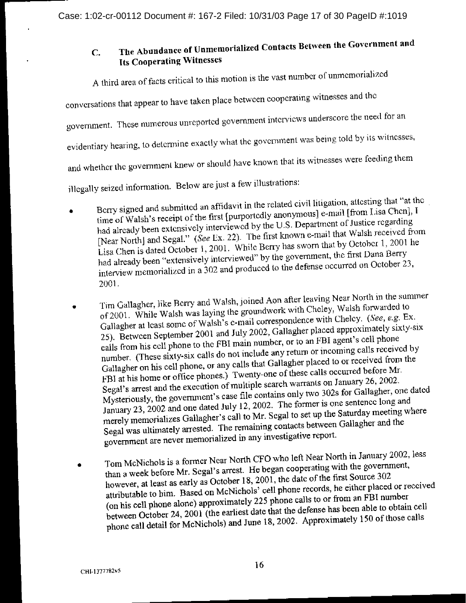## The Abundance of Unmemorialized Contacts Between the Government and  $\mathbf{C}$ . **Its Cooperating Witnesses**

A third area of facts critical to this motion is the vast number of unmemorialized

conversations that appear to have taken place between cooperating witnesses and the

government. These numerous unreported government interviews underscore the need for an

evidentiary hearing, to determine exactly what the government was being told by its witnesses,

and whether the government knew or should have known that its witnesses were feeding them

illegally seized information. Below are just a few illustrations:

- Berry signed and submitted an affidavit in the related civil litigation, attesting that "at the time of Walsh's receipt of the first [purportedly anonymous] e-mail [from Lisa Chen], I had already been extensively interviewed by the U.S. Department of Justice regarding [Near North] and Segal." (See Ex. 22). The first known e-mail that Walsh received from Lisa Chen is dated October 1, 2001. While Berry has sworn that by October 1, 2001 he had already been "extensively interviewed" by the government, the first Dana Berry interview memorialized in a 302 and produced to the defense occurred on October 23, 2001.
- Tim Gallagher, like Berry and Walsh, joined Aon after leaving Near North in the summer of 2001. While Walsh was laying the groundwork with Cheley, Walsh forwarded to Gallagher at least some of Walsh's e-mail correspondence with Cheley. (See, e.g. Ex. 25). Between September 2001 and July 2002, Gallagher placed approximately sixty-six calls from his cell phone to the FBI main number, or to an FBI agent's cell phone number. (These sixty-six calls do not include any return or incoming calls received by Gallagher on his cell phone, or any calls that Gallagher placed to or received from the FBI at his home or office phones.) Twenty-one of these calls occurred before Mr. Segal's arrest and the execution of multiple search warrants on January 26, 2002. Mysteriously, the government's case file contains only two 302s for Gallagher, one dated January 23, 2002 and one dated July 12, 2002. The former is one sentence long and merely memorializes Gallagher's call to Mr. Segal to set up the Saturday meeting where Segal was ultimately arrested. The remaining contacts between Gallagher and the government are never memorialized in any investigative report.
- Tom McNichols is a former Near North CFO who left Near North in January 2002, less than a week before Mr. Segal's arrest. He began cooperating with the government,  $\bullet$ however, at least as early as October 18, 2001, the date of the first Source 302 attributable to him. Based on McNichols' cell phone records, he either placed or received (on his cell phone alone) approximately 225 phone calls to or from an FBI number between October 24, 2001 (the earliest date that the defense has been able to obtain cell phone call detail for McNichols) and June 18, 2002. Approximately 150 of those calls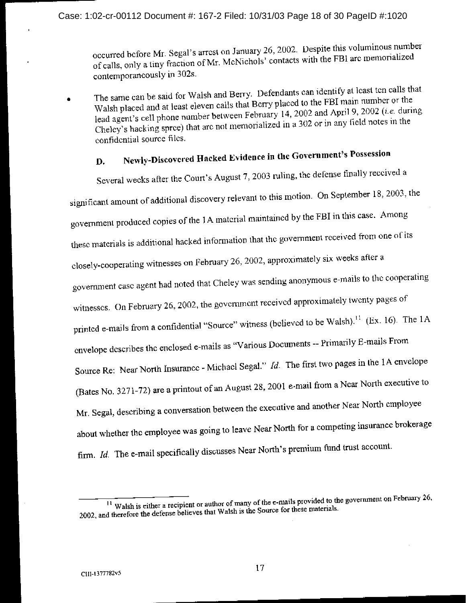occurred before Mr. Segal's arrest on January 26, 2002. Despite this voluminous number of calls, only a tiny fraction of Mr. McNichols' contacts with the FBI arc memorialized contemporaneously in 302s.

The same can be said for Walsh and Berry. Defendants can identify at least ten calls that Walsh placed and at least eleven calls that Berry placed to the FBI main number or the lead agent's cell phone number between February 14, 2002 and April 9, 2002 (*i.e.* during Cheley's hacking spree) that are not memorialized in a 302 or in any field notes in the confidential source files.

### Newly-Discovered Hacked Evidence in the Government's Possession  $\mathbf{D}$

Several weeks after the Court's August 7, 2003 ruling, the defense finally received a significant amount of additional discovery relevant to this motion. On September 18, 2003, the government produced copies of the 1A material maintained by the FBI in this case. Among these materials is additional hacked information that the government received from one of its closely-cooperating witnesses on February 26, 2002, approximately six weeks after a government case agent had noted that Cheley was sending anonymous e-mails to the cooperating witnesses. On February 26, 2002, the government received approximately twenty pages of printed e-mails from a confidential "Source" witness (believed to be Walsh).<sup>11</sup> (Ex. 16). The 1A envelope describes the enclosed e-mails as "Various Documents -- Primarily E-mails From Source Re: Near North Insurance - Michael Segal." Id. The first two pages in the 1A envelope (Bates No. 3271-72) are a printout of an August 28, 2001 e-mail from a Near North executive to Mr. Segal, describing a conversation between the executive and another Near North employee about whether the employee was going to leave Near North for a competing insurance brokerage firm. Id. The e-mail specifically discusses Near North's premium fund trust account.

<sup>&</sup>lt;sup>11</sup> Walsh is either a recipient or author of many of the e-mails provided to the government on February 26, 2002, and therefore the defense believes that Walsh is the Source for these materials.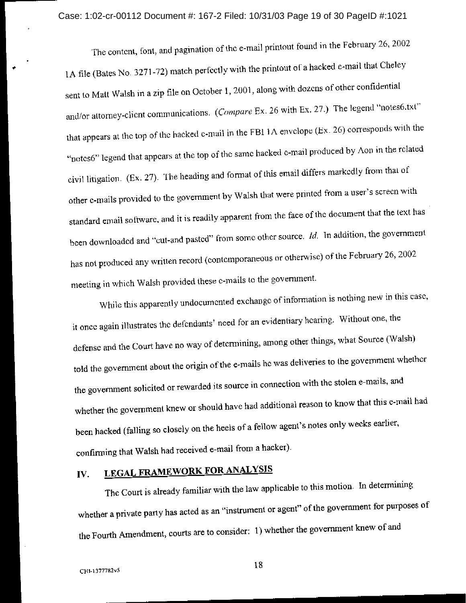The content, font, and pagination of the e-mail printout found in the February 26, 2002 1A file (Bates No. 3271-72) match perfectly with the printout of a hacked e-mail that Cheley sent to Matt Walsh in a zip file on October 1, 2001, along with dozens of other confidential and/or attorney-client communications. (Compare Ex. 26 with Ex. 27.) The legend "notes6.txt" that appears at the top of the hacked e-mail in the FBI 1A envelope (Ex. 26) corresponds with the "notes6" legend that appears at the top of the same hacked e-mail produced by Aon in the related civil litigation. (Ex. 27). The heading and format of this email differs markedly from that of other c-mails provided to the government by Walsh that were printed from a user's screen with standard email software, and it is readily apparent from the face of the document that the text has been downloaded and "cut-and pasted" from some other source.  $Id$ . In addition, the government has not produced any written record (contemporaneous or otherwise) of the February 26, 2002 meeting in which Walsh provided these e-mails to the government.

While this apparently undocumented exchange of information is nothing new in this case, it once again illustrates the defendants' need for an evidentiary hearing. Without one, the defense and the Court have no way of determining, among other things, what Source (Walsh) told the government about the origin of the e-mails he was deliveries to the government whether the government solicited or rewarded its source in connection with the stolen e-mails, and whether the government knew or should have had additional reason to know that this e-mail had been hacked (falling so closely on the heels of a fellow agent's notes only weeks earlier, confirming that Walsh had received e-mail from a hacker).

### **LEGAL FRAMEWORK FOR ANALYSIS** IV.

The Court is already familiar with the law applicable to this motion. In determining whether a private party has acted as an "instrument or agent" of the government for purposes of the Fourth Amendment, courts are to consider: 1) whether the government knew of and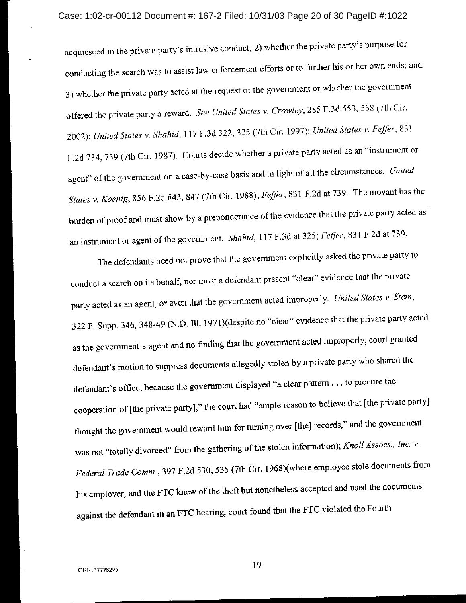acquiesced in the private party's intrusive conduct; 2) whether the private party's purpose for conducting the search was to assist law enforcement efforts or to further his or her own ends; and 3) whether the private party acted at the request of the government or whether the government offered the private party a reward. See United States v. Crowley, 285 F.3d 553, 558 (7th Cir. 2002); United States v. Shahid, 117 F.3d 322, 325 (7th Cir. 1997); United States v. Feffer, 831 F.2d 734, 739 (7th Cir. 1987). Courts decide whether a private party acted as an "instrument or agent" of the government on a case-by-case basis and in light of all the circumstances. United States v. Koenig, 856 F.2d 843, 847 (7th Cir. 1988); Feffer, 831 F.2d at 739. The movant has the burden of proof and must show by a preponderance of the evidence that the private party acted as an instrument or agent of the government. Shahid, 117 F.3d at 325; Feffer, 831 F.2d at 739.

The defendants need not prove that the government explicitly asked the private party to conduct a search on its behalf, nor must a defendant present "clear" evidence that the private party acted as an agent, or even that the government acted improperly. United States v. Stein, 322 F. Supp. 346, 348-49 (N.D. Ill. 1971)(despite no "clear" evidence that the private party acted as the government's agent and no finding that the government acted improperly, court granted defendant's motion to suppress documents allegedly stolen by a private party who shared the defendant's office; because the government displayed "a clear pattern . . . to procure the cooperation of [the private party]," the court had "ample reason to believe that [the private party] thought the government would reward him for turning over [the] records," and the government was not "totally divorced" from the gathering of the stolen information); Knoll Assocs., Inc. v. Federal Trade Comm., 397 F.2d 530, 535 (7th Cir. 1968)(where employee stole documents from his employer, and the FTC knew of the theft but nonetheless accepted and used the documents against the defendant in an FTC hearing, court found that the FTC violated the Fourth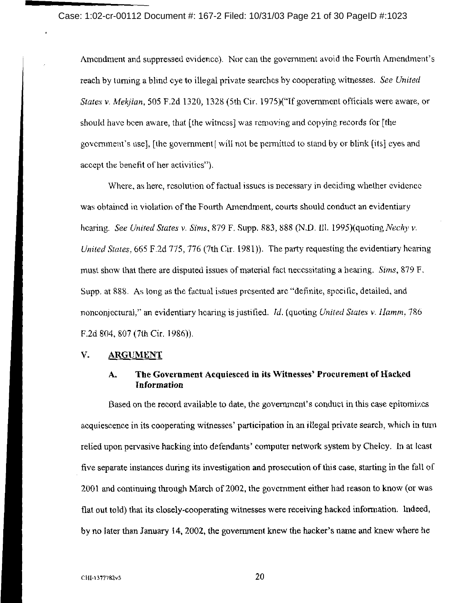Case: 1:02-cr-00112 Document #: 167-2 Filed: 10/31/03 Page 21 of 30 PageID #:1023

Amendment and suppressed evidence). Nor can the government avoid the Fourth Amendment's reach by turning a blind cye to illegal private searches by cooperating witnesses. See United States v. Mekilan, 505 F.2d 1320, 1328 (5th Cir. 1975)("If government officials were aware, or should have been aware, that [the witness] was removing and copying records for [the government's usel, [the government] will not be permitted to stand by or blink [its] eyes and accept the benefit of her activities").

Where, as here, resolution of factual issues is necessary in deciding whether evidence was obtained in violation of the Fourth Amendment, courts should conduct an evidentiary hearing. See United States v. Sims, 879 F. Supp. 883, 888 (N.D. Ill. 1995)(quoting Nechy v. United States, 665 F.2d 775, 776 (7th Cir. 1981)). The party requesting the evidentiary hearing must show that there are disputed issues of material fact necessitating a hearing. Sims, 879 F. Supp. at 888. As long as the factual issues presented are "definite, specific, detailed, and nonconjectural," an evidentiary hearing is justified. Id. (quoting United States v. Hamm, 786 F.2d 804, 807 (7th Cir. 1986)).

#### $V$ . **ARGUMENT**

### The Government Acquiesced in its Witnesses' Procurement of Hacked A. **Information**

Based on the record available to date, the government's conduct in this case epitomizes acquiescence in its cooperating witnesses' participation in an illegal private search, which in turn relied upon pervasive hacking into defendants' computer network system by Cheley. In at least five separate instances during its investigation and prosecution of this case, starting in the fall of 2001 and continuing through March of 2002, the government either had reason to know (or was flat out told) that its closely-cooperating witnesses were receiving hacked information. Indeed, by no later than January 14, 2002, the government knew the hacker's name and knew where he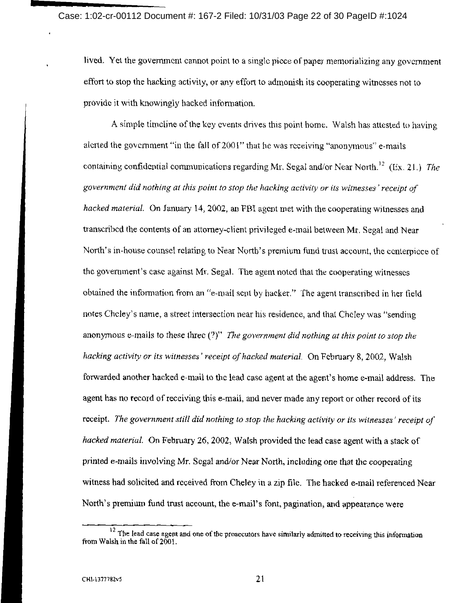lived. Yet the government cannot point to a single piece of paper memorializing any government effort to stop the hacking activity, or any effort to admonish its cooperating witnesses not to provide it with knowingly hacked information.

A simple timeline of the key events drives this point home. Walsh has attested to having alerted the government "in the fall of 2001" that he was receiving "anonymous" e-mails containing confidential communications regarding Mr. Segal and/or Near North.<sup>12</sup> (Ex. 21.) The government did nothing at this point to stop the hacking activity or its witnesses' receipt of hacked material. On January 14, 2002, an FBI agent met with the cooperating witnesses and transcribed the contents of an attorney-client privileged e-mail between Mr. Segal and Near North's in-house counsel relating to Near North's premium fund trust account, the centerpiece of the government's case against Mr. Segal. The agent noted that the cooperating witnesses obtained the information from an "e-mail sent by hacker." The agent transcribed in her field notes Cheley's name, a street intersection near his residence, and that Cheley was "sending anonymous e-mails to these three  $(?)'$ . The government did nothing at this point to stop the hacking activity or its witnesses' receipt of hacked material. On February 8, 2002, Walsh forwarded another hacked e-mail to the lead case agent at the agent's home e-mail address. The agent has no record of recciving this e-mail, and never made any report or other record of its receipt. The government still did nothing to stop the hacking activity or its witnesses' receipt of hacked material. On February 26, 2002, Walsh provided the lead case agent with a stack of printed e-mails involving Mr. Segal and/or Near North, including one that the cooperating witness had solicited and received from Cheley in a zip file. The hacked e-mail referenced Near North's premium fund trust account, the e-mail's font, pagination, and appearance were

 $\frac{12}{12}$  The lead case agent and one of the prosecutors have similarly admitted to receiving this information from Walsh in the fall of 2001.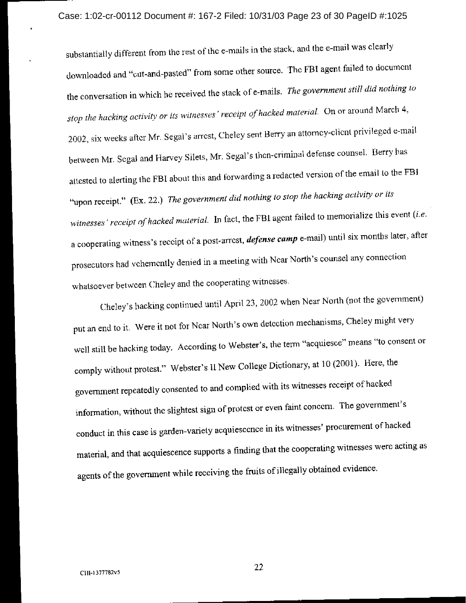substantially different from the rest of the e-mails in the stack, and the e-mail was clearly downloaded and "cut-and-pasted" from some other source. The FBI agent failed to document the conversation in which he received the stack of e-mails. The government still did nothing to stop the hacking activity or its witnesses' receipt of hacked material. On or around March 4, 2002, six weeks after Mr. Segal's arrest, Cheley sent Berry an attorney-client privileged e-mail between Mr. Segal and Harvey Silets, Mr. Segal's then-criminal defense counsel. Berry has attested to alerting the FBI about this and forwarding a redacted version of the email to the FBI "upon receipt." (Ex. 22.) The government did nothing to stop the hacking activity or its witnesses' receipt of hacked material. In fact, the FBI agent failed to memorialize this event (i.e. a cooperating witness's receipt of a post-arrest, *defense camp* e-mail) until six months later, after prosecutors had vehemently denied in a meeting with Near North's counsel any connection whatsoever between Cheley and the cooperating witnesses.

Cheley's hacking continued until April 23, 2002 when Near North (not the government) put an end to it. Were it not for Near North's own detection mechanisms, Cheley might very well still be hacking today. According to Webster's, the term "acquiesce" means "to consent or comply without protest." Webster's II New College Dictionary, at 10 (2001). Here, the government repeatedly consented to and complied with its witnesses receipt of hacked information, without the slightest sign of protest or even faint concern. The government's conduct in this case is garden-variety acquiescence in its witnesses' procurement of hacked material, and that acquiescence supports a finding that the cooperating witnesses were acting as agents of the government while receiving the fruits of illegally obtained evidence.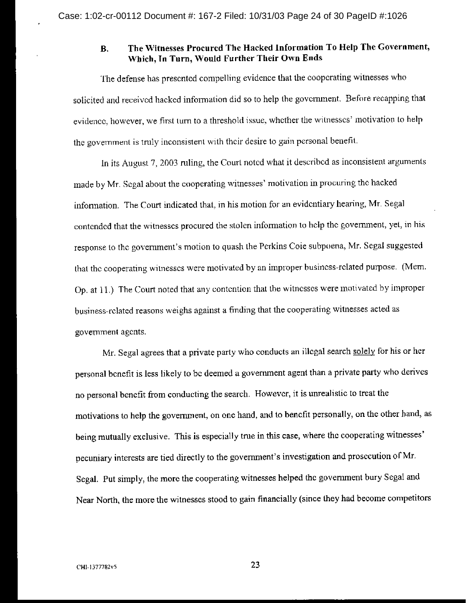### The Witnesses Procured The Hacked Information To Help The Government, **B.** Which, In Turn, Would Further Their Own Ends

The defense has presented compelling evidence that the cooperating witnesses who solicited and received hacked information did so to help the government. Before recapping that evidence, however, we first turn to a threshold issue, whether the witnesses' motivation to help the government is truly inconsistent with their desire to gain personal benefit.

In its August 7, 2003 ruling, the Court noted what it described as inconsistent arguments made by Mr. Segal about the cooperating witnesses' motivation in procuring the hacked information. The Court indicated that, in his motion for an evidentiary hearing, Mr. Segal contended that the witnesses procured the stolen information to help the government, yet, in his response to the government's motion to quash the Perkins Coie subpoena, Mr. Segal suggested that the cooperating witnesses were motivated by an improper business-related purpose. (Mem. Op. at 11.) The Court noted that any contention that the witnesses were motivated by improper business-related reasons weighs against a finding that the cooperating witnesses acted as government agents.

Mr. Segal agrees that a private party who conducts an illegal search solely for his or her personal benefit is less likely to be deemed a government agent than a private party who derives no personal benefit from conducting the search. However, it is unrealistic to treat the motivations to help the government, on one hand, and to benefit personally, on the other hand, as being mutually exclusive. This is especially true in this case, where the cooperating witnesses' pecuniary interests are tied directly to the government's investigation and prosecution of Mr. Segal. Put simply, the more the cooperating witnesses helped the government bury Segal and Near North, the more the witnesses stood to gain financially (since they had become competitors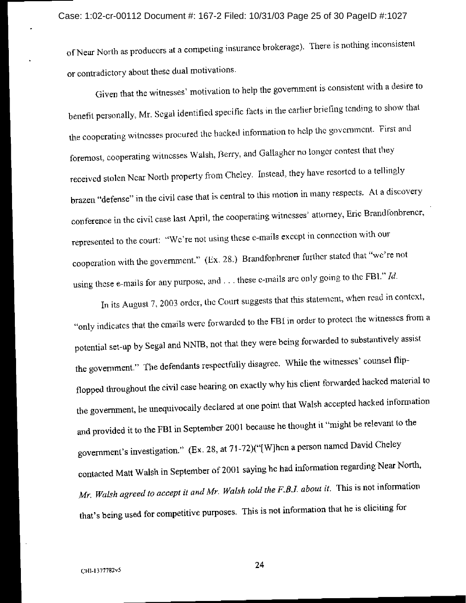of Near North as producers at a competing insurance brokerage). There is nothing inconsistent or contradictory about these dual motivations.

Given that the witnesses' motivation to help the government is consistent with a desire to benefit personally, Mr. Segal identified specific facts in the earlier briefing tending to show that the cooperating witnesses procured the hacked information to help the government. First and foremost, cooperating witnesses Walsh, Berry, and Gallagher no longer contest that they received stolen Near North property from Cheley. Instead, they have resorted to a tellingly brazen "defense" in the civil case that is central to this motion in many respects. At a discovery conference in the civil case last April, the cooperating witnesses' attorney, Eric Brandfonbrener, represented to the court: "We're not using these e-mails except in connection with our cooperation with the government." (Ex. 28.) Brandfonbrener further stated that "we're not using these e-mails for any purpose, and  $\dots$  these e-mails are only going to the FBI." Id.

In its August 7, 2003 order, the Court suggests that this statement, when read in context, "only indicates that the emails were forwarded to the FBI in order to protect the witnesses from a potential set-up by Segal and NNIB, not that they were being forwarded to substantively assist the government." The defendants respectfully disagree. While the witnesses' counsel flipflopped throughout the civil case hearing on exactly why his client forwarded hacked material to the government, he unequivocally declared at one point that Walsh accepted hacked information and provided it to the FBI in September 2001 because he thought it "might be relevant to the government's investigation." (Ex. 28, at 71-72)("[W]hen a person named David Cheley contacted Matt Walsh in September of 2001 saying he had information regarding Near North, Mr. Walsh agreed to accept it and Mr. Walsh told the F.B.J. about it. This is not information that's being used for competitive purposes. This is not information that he is cliciting for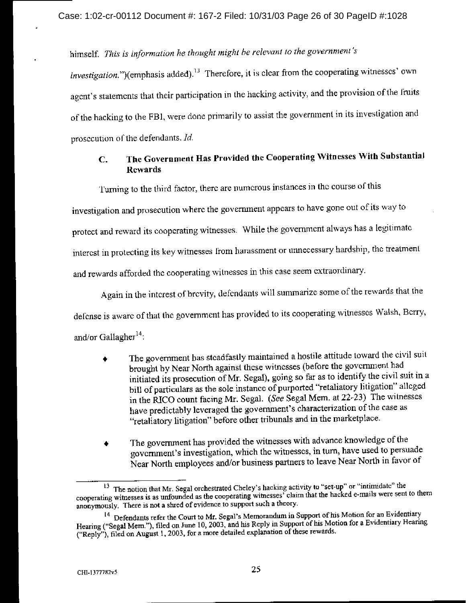himself. This is information he thought might be relevant to the government's

investigation.")(emphasis added).<sup>13</sup> Therefore, it is clear from the cooperating witnesses' own agent's statements that their participation in the hacking activity, and the provision of the fruits of the hacking to the FBI, were done primarily to assist the government in its investigation and prosecution of the defendants. Id.

### The Government Has Provided the Cooperating Witnesses With Substantial  $\mathbf{C}$ . Rewards

Turning to the third factor, there are numerous instances in the course of this

investigation and prosecution where the government appears to have gone out of its way to

protect and reward its cooperating witnesses. While the government always has a legitimate

interest in protecting its key witnesses from harassment or unnecessary hardship, the treatment

and rewards afforded the cooperating witnesses in this case seem extraordinary.

Again in the interest of brevity, defendants will summarize some of the rewards that the defense is aware of that the government has provided to its cooperating witnesses Walsh, Berry, and/or Gallagher<sup>14</sup>:

- The government has steadfastly maintained a hostile attitude toward the civil suit brought by Near North against these witnesses (before the government had initiated its prosecution of Mr. Segal), going so far as to identify the civil suit in a bill of particulars as the sole instance of purported "retaliatory litigation" alleged in the RICO count facing Mr. Segal. (See Segal Mem. at 22-23) The witnesses have predictably leveraged the government's characterization of the case as "retaliatory litigation" before other tribunals and in the marketplace.
- The government has provided the witnesses with advance knowledge of the government's investigation, which the witnesses, in turn, have used to persuade Near North employees and/or business partners to leave Near North in favor of

<sup>&</sup>lt;sup>13</sup> The notion that Mr. Segal orchestrated Cheley's hacking activity to "set-up" or "intimidate" the cooperating witnesses is as unfounded as the cooperating witnesses' claim that the hacked e-mails were sent to them anonymously. There is not a shred of evidence to support such a theory.

<sup>&</sup>lt;sup>14</sup> Defendants refer the Court to Mr. Segal's Memorandum in Support of his Motion for an Evidentiary Hearing ("Segal Mern."), filed on June 10, 2003, and his Reply in Support of his Motion for a Evidentiary Hearing ("Reply"), filed on August 1, 2003, for a more detailed explanation of these rewards.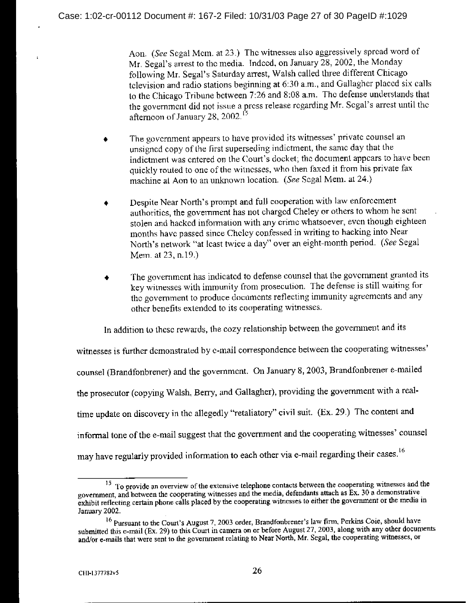Aon. (See Segal Mem. at 23.) The witnesses also aggressively spread word of Mr. Segal's arrest to the media. Indeed, on January 28, 2002, the Monday following Mr. Segal's Saturday arrest, Walsh called three different Chicago television and radio stations beginning at 6:30 a.m., and Gallagher placed six calls to the Chicago Tribune between 7:26 and 8:08 a.m. The defense understands that the government did not issue a press release regarding Mr. Segal's arrest until the afternoon of January 28, 2002.<sup>15</sup>

- The government appears to have provided its witnesses' private counsel an unsigned copy of the first superseding indictment, the same day that the indictment was entered on the Court's docket; the document appears to have been quickly routed to one of the witnesses, who then faxed it from his private fax machine at Aon to an unknown location. (See Segal Mem. at 24.)
- Despite Near North's prompt and full cooperation with law enforcement authorities, the government has not charged Cheley or others to whom he sent stolen and hacked information with any crime whatsoever, even though eighteen months have passed since Cheley confessed in writing to hacking into Near North's network "at least twice a day" over an eight-month period. (See Segal Mem. at 23, n.19.)
- The government has indicated to defense counsel that the government granted its key witnesses with immunity from prosecution. The defense is still waiting for the government to produce documents reflecting immunity agreements and any other benefits extended to its cooperating witnesses.

In addition to these rewards, the cozy relationship between the government and its

witnesses is further demonstrated by e-mail correspondence between the cooperating witnesses' counsel (Brandfonbrener) and the government. On January 8, 2003, Brandfonbrener e-mailed the prosecutor (copying Walsh, Berry, and Gallagher), providing the government with a realtime update on discovery in the allegedly "retaliatory" civil suit. (Ex. 29.) The content and informal tone of the e-mail suggest that the government and the cooperating witnesses' counsel may have regularly provided information to each other via e-mail regarding their cases.<sup>16</sup>

<sup>&</sup>lt;sup>15</sup> To provide an overview of the extensive telephone contacts between the cooperating witnesses and the government, and between the cooperating witnesses and the media, defendants attach as Ex. 30 a demonstrative exhibit reflecting certain phone calls placed by the cooperating witnesses to either the government or the media in January 2002.

 $^{16}$  Pursuant to the Court's August 7, 2003 order, Brandfonbrener's law firm, Perkins Coie, should have submitted this e-mail (Ex. 29) to this Court in camera on or before August 27, 2003, along with any other documents and/or e-mails that were sent to the government relating to Near North, Mr. Segal, the cooperating witnesses, or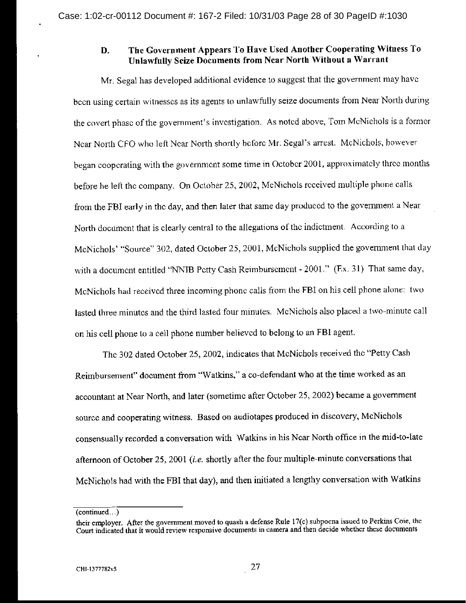### The Government Appears To Have Used Another Cooperating Witness To D. **Unlawfully Scize Documents from Near North Without a Warrant**

Mr. Segal has developed additional evidence to suggest that the government may have been using certain witnesses as its agents to unlawfully seize documents from Near North during the covert phase of the government's investigation. As noted above, Tom McNichols is a former Near North CFO who left Near North shortly before Mr. Segal's arrest. McNichols, however began cooperating with the government some time in October 2001, approximately three months before he left the company. On October 25, 2002, McNichols received multiple phone calls from the FBI early in the day, and then later that same day produced to the government a Near North document that is clearly central to the allegations of the indictment. According to a McNichols' "Source" 302, dated October 25, 2001, McNichols supplied the government that day with a document entitled "NNIB Petty Cash Reimbursement - 2001." (Ex. 31) That same day, McNichols had received three incoming phone calls from the FBI on his cell phone alone: two lasted three minutes and the third lasted four minutes. McNichols also placed a two-minute call on his cell phone to a cell phone number believed to belong to an FBI agent.

The 302 dated October 25, 2002, indicates that McNichols received the "Petty Cash Reimbursement" document from "Watkins," a co-defendant who at the time worked as an accountant at Near North, and later (sometime after October 25, 2002) became a government source and cooperating witness. Based on audiotapes produced in discovery, McNichols consensually recorded a conversation with Watkins in his Near North office in the mid-to-late afternoon of October 25, 2001 (i.e. shortly after the four multiple-minute conversations that McNichols had with the FBI that day), and then initiated a lengthy conversation with Watkins

 $(continued...)$ 

their employer. After the government moved to quash a defense Rule 17(c) subpocna issued to Perkins Coie, the Court indicated that it would review responsive documents in camera and then decide whether these documents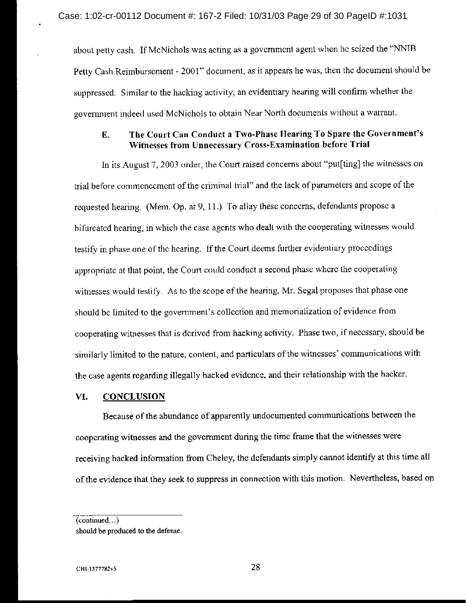about petty cash. If McNichols was acting as a government agent when he seized the "NNIB Petty Cash Reimbursement - 2001" document, as it appears he was, then the document should be suppressed. Similar to the hacking activity, an evidentiary hearing will confirm whether the government indeed used McNichols to obtain Near North documents without a warrant.

### The Court Can Conduct a Two-Phase Hearing To Spare the Government's E. Witnesses from Unnecessary Cross-Examination before Trial

In its August 7, 2003 order, the Court raised concerns about "put[ting] the witnesses on trial before commencement of the criminal trial" and the lack of parameters and scope of the requested hearing. (Mem. Op. at 9, 11.) To allay these concerns, defendants propose a bifurcated hearing, in which the case agents who dealt with the cooperating witnesses would testify in phase one of the hearing. If the Court deems further evidentiary proceedings appropriate at that point, the Court could conduct a second phase where the cooperating witnesses would testify. As to the scope of the hearing, Mr. Segal proposes that phase one should be limited to the government's collection and memorialization of evidence from cooperating witnesses that is derived from hacking activity. Phase two, if necessary, should be similarly limited to the nature, content, and particulars of the witnesses' communications with the case agents regarding illegally hacked evidence, and their relationship with the hacker.

#### VI. **CONCLUSION**

Because of the abundance of apparently undocumented communications between the cooperating witnesses and the government during the time frame that the witnesses were receiving hacked information from Cheley, the defendants simply cannot identify at this time all of the evidence that they seek to suppress in connection with this motion. Nevertheless, based on

 $(continued...)$ 

should be produced to the defense.